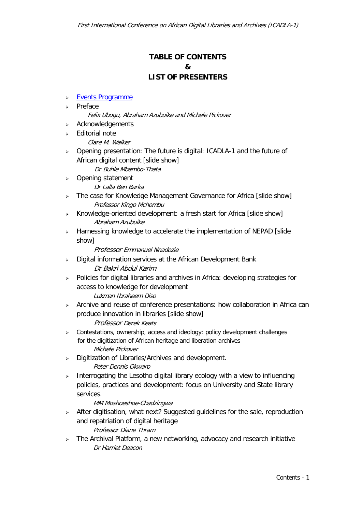# **TABLE OF CONTENTS & LIST OF PRESENTERS**

- Events Programme
- > Preface
	- Felix Ubogu, Abraham Azubuike and Michele Pickover
- $\triangleright$  Acknowledgements
- $\epsilon$  Fditorial note
	- Clare M. Walker
- Opening presentation: The future is digital: ICADLA-1 and the future of African digital content [slide show]
	- Dr Buhle Mbambo-Thata
- > Opening statement Dr Lalla Ben Barka
- > The case for Knowledge Management Governance for Africa [slide show] Professor Kingo Mchombu
- > Knowledge-oriented development: a fresh start for Africa [slide show] Abraham Azubuike
- > Harnessing knowledge to accelerate the implementation of NEPAD [slide show]

### Professor Emmanuel Nnadozie

- $\triangleright$  Digital information services at the African Development Bank Dr Bakri Abdul Karim
- $\ge$  Policies for digital libraries and archives in Africa: developing strategies for access to knowledge for development
	- Lukman Ibraheem Diso
- $\triangleright$  Archive and reuse of conference presentations: how collaboration in Africa can produce innovation in libraries [slide show]

#### Professor Derek Keats

- $\triangleright$  Contestations, ownership, access and ideology: policy development challenges for the digitization of African heritage and liberation archives Michele Pickover
- > Digitization of Libraries/Archives and development. Peter Dennis Okwaro
- $\triangleright$  Interrogating the Lesotho digital library ecology with a view to influencing policies, practices and development: focus on University and State library services.

### MM Moshoeshoe-Chadzingwa

- After digitisation, what next? Suggested guidelines for the sale, reproduction and repatriation of digital heritage Professor Diane Thram
- $\triangleright$  The Archival Platform, a new networking, advocacy and research initiative Dr Harriet Deacon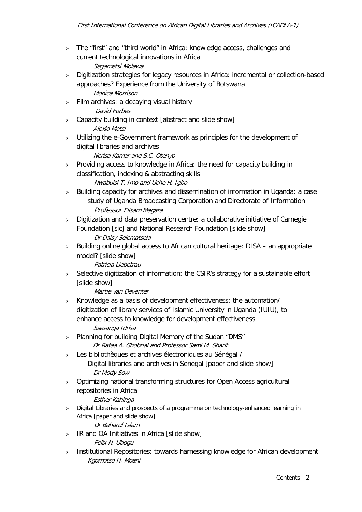- > The "first" and "third world" in Africa: knowledge access, challenges and current technological innovations in Africa Segametsi Molawa
- > Digitization strategies for legacy resources in Africa: incremental or collection-based approaches? Experience from the University of Botswana Monica Morrison
- $\triangleright$  Film archives: a decaying visual history David Forbes
- $\triangleright$  Capacity building in context [abstract and slide show] Alexio Motsi
- $\rightarrow$  Utilizing the e-Government framework as principles for the development of digital libraries and archives

Nerisa Kamar and S.C. Otenyo

- $\triangleright$  Providing access to knowledge in Africa: the need for capacity building in classification, indexing & abstracting skills Nwabuisi T. Imo and Uche H. Igbo
- $\triangleright$  Building capacity for archives and dissemination of information in Uganda: a case study of Uganda Broadcasting Corporation and Directorate of Information Professor Elisam Magara
- $\triangleright$  Digitization and data preservation centre: a collaborative initiative of Carnegie Foundation [sic] and National Research Foundation [slide show] Dr Daisy Selematsela
- $\triangleright$  Building online global access to African cultural heritage: DISA an appropriate model? [slide show]

Patricia Liebetrau

 $\triangleright$  Selective digitization of information: the CSIR's strategy for a sustainable effort [slide show]

Martie van Deventer

- $\triangleright$  Knowledge as a basis of development effectiveness: the automation/ digitization of library services of Islamic University in Uganda (IUIU), to enhance access to knowledge for development effectiveness Ssesanga Idrisa
- > Planning for building Digital Memory of the Sudan "DMS"<br>*Dr Rafaa A. Ghobrial and Professor Sami M. Sharif*
- Les bibliothèques et archives électroniques au Sénégal / Digital libraries and archives in Senegal [paper and slide show] Dr Mody Sow
- > Optimizing national transforming structures for Open Access agricultural repositories in Africa

Esther Kahinga

 $\triangleright$  Digital Libraries and prospects of a programme on technology-enhanced learning in Africa [paper and slide show]

Dr Baharul Islam

- $\triangleright$  IR and OA Initiatives in Africa [slide show] Felix N. Ubogu
- $\triangleright$  Institutional Repositories: towards harnessing knowledge for African development Kgomotso H. Moahi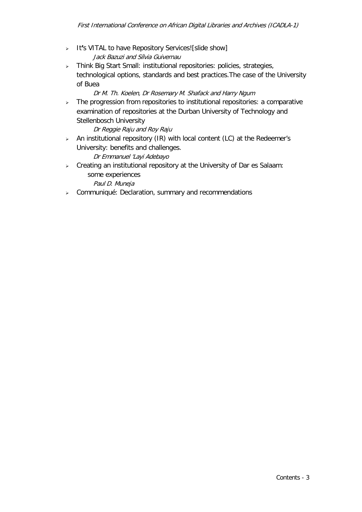- > It's VITAL to have Repository Services![slide show] Jack Bazuzi and Sílvia Guivernau
- > Think Big Start Small: institutional repositories: policies, strategies, technological options, standards and best practices.The case of the University of Buea

### Dr M. Th. Koelen, Dr Rosemary M. Shafack and Harry Ngum

 $\triangleright$  The progression from repositories to institutional repositories: a comparative examination of repositories at the Durban University of Technology and Stellenbosch University

Dr Reggie Raju and Roy Raju

 $\triangleright$  An institutional repository (IR) with local content (LC) at the Redeemer's University: benefits and challenges.

Dr Emmanuel 'Layi Adebayo

 $\triangleright$  Creating an institutional repository at the University of Dar es Salaam: some experiences

Paul D. Muneia

 $\triangleright$  Communiqué: Declaration, summary and recommendations